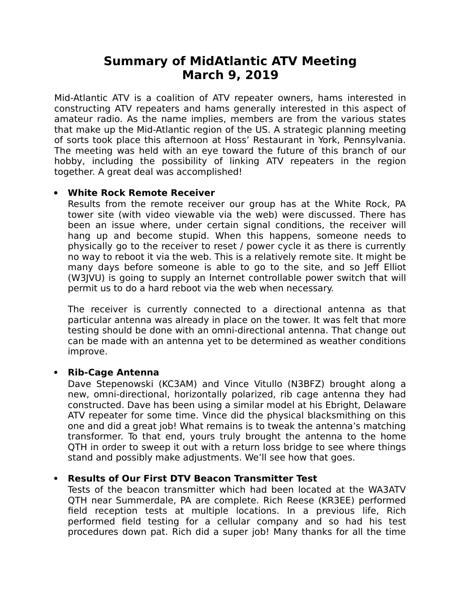# **Summary of MidAtlantic ATV Meeting March 9, 2019**

Mid-Atlantic ATV is a coalition of ATV repeater owners, hams interested in constructing ATV repeaters and hams generally interested in this aspect of amateur radio. As the name implies, members are from the various states that make up the Mid-Atlantic region of the US. A strategic planning meeting of sorts took place this afternoon at Hoss' Restaurant in York, Pennsylvania. The meeting was held with an eye toward the future of this branch of our hobby, including the possibility of linking ATV repeaters in the region together. A great deal was accomplished!

## **White Rock Remote Receiver**

Results from the remote receiver our group has at the White Rock, PA tower site (with video viewable via the web) were discussed. There has been an issue where, under certain signal conditions, the receiver will hang up and become stupid. When this happens, someone needs to physically go to the receiver to reset / power cycle it as there is currently no way to reboot it via the web. This is a relatively remote site. It might be many days before someone is able to go to the site, and so Jeff Elliot (W3JVU) is going to supply an Internet controllable power switch that will permit us to do a hard reboot via the web when necessary.

The receiver is currently connected to a directional antenna as that particular antenna was already in place on the tower. It was felt that more testing should be done with an omni-directional antenna. That change out can be made with an antenna yet to be determined as weather conditions improve.

## **Rib-Cage Antenna**

Dave Stepenowski (KC3AM) and Vince Vitullo (N3BFZ) brought along a new, omni-directional, horizontally polarized, rib cage antenna they had constructed. Dave has been using a similar model at his Ebright, Delaware ATV repeater for some time. Vince did the physical blacksmithing on this one and did a great job! What remains is to tweak the antenna's matching transformer. To that end, yours truly brought the antenna to the home QTH in order to sweep it out with a return loss bridge to see where things stand and possibly make adjustments. We'll see how that goes.

## **Results of Our First DTV Beacon Transmitter Test**

Tests of the beacon transmitter which had been located at the WA3ATV QTH near Summerdale, PA are complete. Rich Reese (KR3EE) performed field reception tests at multiple locations. In a previous life, Rich performed field testing for a cellular company and so had his test procedures down pat. Rich did a super job! Many thanks for all the time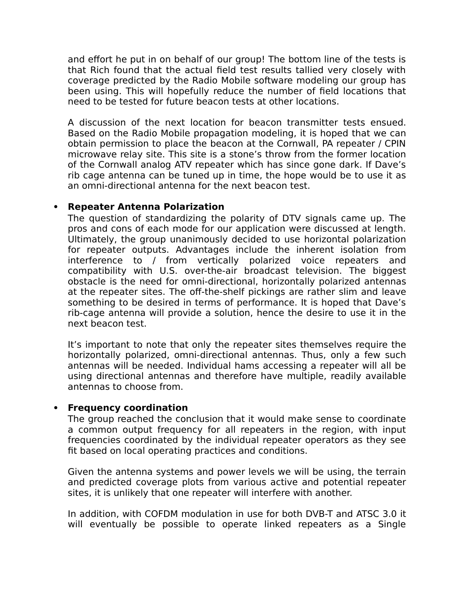and effort he put in on behalf of our group! The bottom line of the tests is that Rich found that the actual field test results tallied very closely with coverage predicted by the Radio Mobile software modeling our group has been using. This will hopefully reduce the number of field locations that need to be tested for future beacon tests at other locations.

A discussion of the next location for beacon transmitter tests ensued. Based on the Radio Mobile propagation modeling, it is hoped that we can obtain permission to place the beacon at the Cornwall, PA repeater / CPIN microwave relay site. This site is a stone's throw from the former location of the Cornwall analog ATV repeater which has since gone dark. If Dave's rib cage antenna can be tuned up in time, the hope would be to use it as an omni-directional antenna for the next beacon test.

## **Repeater Antenna Polarization**

The question of standardizing the polarity of DTV signals came up. The pros and cons of each mode for our application were discussed at length. Ultimately, the group unanimously decided to use horizontal polarization for repeater outputs. Advantages include the inherent isolation from interference to / from vertically polarized voice repeaters and compatibility with U.S. over-the-air broadcast television. The biggest obstacle is the need for omni-directional, horizontally polarized antennas at the repeater sites. The off-the-shelf pickings are rather slim and leave something to be desired in terms of performance. It is hoped that Dave's rib-cage antenna will provide a solution, hence the desire to use it in the next beacon test.

It's important to note that only the repeater sites themselves require the horizontally polarized, omni-directional antennas. Thus, only a few such antennas will be needed. Individual hams accessing a repeater will all be using directional antennas and therefore have multiple, readily available antennas to choose from.

## **Frequency coordination**

The group reached the conclusion that it would make sense to coordinate a common output frequency for all repeaters in the region, with input frequencies coordinated by the individual repeater operators as they see fit based on local operating practices and conditions.

Given the antenna systems and power levels we will be using, the terrain and predicted coverage plots from various active and potential repeater sites, it is unlikely that one repeater will interfere with another.

In addition, with COFDM modulation in use for both DVB-T and ATSC 3.0 it will eventually be possible to operate linked repeaters as a Single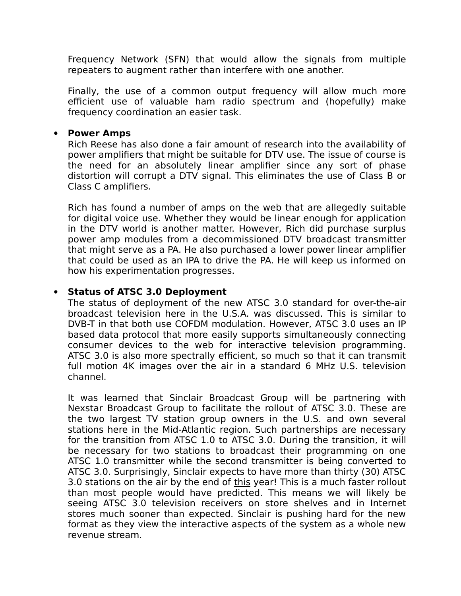Frequency Network (SFN) that would allow the signals from multiple repeaters to augment rather than interfere with one another.

Finally, the use of a common output frequency will allow much more efficient use of valuable ham radio spectrum and (hopefully) make frequency coordination an easier task.

#### **Power Amps**

Rich Reese has also done a fair amount of research into the availability of power amplifiers that might be suitable for DTV use. The issue of course is the need for an absolutely linear amplifier since any sort of phase distortion will corrupt a DTV signal. This eliminates the use of Class B or Class C amplifiers.

Rich has found a number of amps on the web that are allegedly suitable for digital voice use. Whether they would be linear enough for application in the DTV world is another matter. However, Rich did purchase surplus power amp modules from a decommissioned DTV broadcast transmitter that might serve as a PA. He also purchased a lower power linear amplifier that could be used as an IPA to drive the PA. He will keep us informed on how his experimentation progresses.

## **Status of ATSC 3.0 Deployment**

The status of deployment of the new ATSC 3.0 standard for over-the-air broadcast television here in the U.S.A. was discussed. This is similar to DVB-T in that both use COFDM modulation. However, ATSC 3.0 uses an IP based data protocol that more easily supports simultaneously connecting consumer devices to the web for interactive television programming. ATSC 3.0 is also more spectrally efficient, so much so that it can transmit full motion 4K images over the air in a standard 6 MHz U.S. television channel.

It was learned that Sinclair Broadcast Group will be partnering with Nexstar Broadcast Group to facilitate the rollout of ATSC 3.0. These are the two largest TV station group owners in the U.S. and own several stations here in the Mid-Atlantic region. Such partnerships are necessary for the transition from ATSC 1.0 to ATSC 3.0. During the transition, it will be necessary for two stations to broadcast their programming on one ATSC 1.0 transmitter while the second transmitter is being converted to ATSC 3.0. Surprisingly, Sinclair expects to have more than thirty (30) ATSC 3.0 stations on the air by the end of this year! This is a much faster rollout than most people would have predicted. This means we will likely be seeing ATSC 3.0 television receivers on store shelves and in Internet stores much sooner than expected. Sinclair is pushing hard for the new format as they view the interactive aspects of the system as a whole new revenue stream.